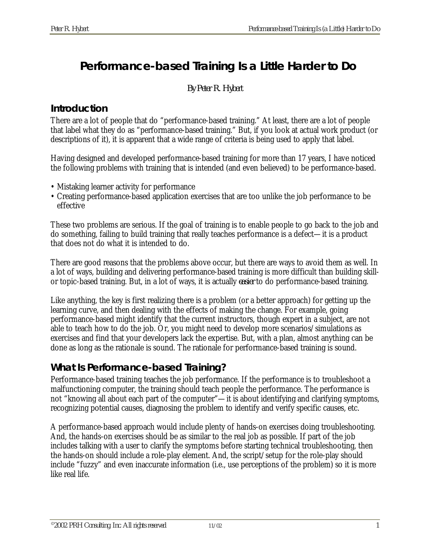# **Performance-based Training Is a Little Harder to Do**

*By Peter R. Hybert*

#### *Introduction*

There are a lot of people that do "performance-based training." At least, there are a lot of people that label what they do as "performance-based training." But, if you look at actual work product (or descriptions of it), it is apparent that a wide range of criteria is being used to apply that label.

Having designed and developed performance-based training for more than 17 years, I have noticed the following problems with training that is intended (and even believed) to be performance-based.

- Mistaking learner activity for performance
- Creating performance-based application exercises that are too unlike the job performance to be effective

These two problems are serious. If the goal of training is to enable people to go back to the job and do something, failing to build training that really teaches performance is a defect—it is a product that does not do what it is intended to do.

There are good reasons that the problems above occur, but there are ways to avoid them as well. In a lot of ways, building and delivering performance-based training is more difficult than building skillor topic-based training. But, in a lot of ways, it is actually *easier* to do performance-based training.

Like anything, the key is first realizing there is a problem (or a better approach) for getting up the learning curve, and then dealing with the effects of making the change. For example, going performance-based might identify that the current instructors, though expert in a subject, are not able to teach how to do the job. Or, you might need to develop more scenarios/simulations as exercises and find that your developers lack the expertise. But, with a plan, almost anything can be done as long as the rationale is sound. The rationale for performance-based training is sound.

# *What Is Performance-based Training?*

Performance-based training teaches the job performance. If the performance is to troubleshoot a malfunctioning computer, the training should teach people the performance. The performance is not "knowing all about each part of the computer"—it is about identifying and clarifying symptoms, recognizing potential causes, diagnosing the problem to identify and verify specific causes, etc.

A performance-based approach would include plenty of hands-on exercises doing troubleshooting. And, the hands-on exercises should be as similar to the real job as possible. If part of the job includes talking with a user to clarify the symptoms before starting technical troubleshooting, then the hands-on should include a role-play element. And, the script/setup for the role-play should include "fuzzy" and even inaccurate information (i.e., use perceptions of the problem) so it is more like real life.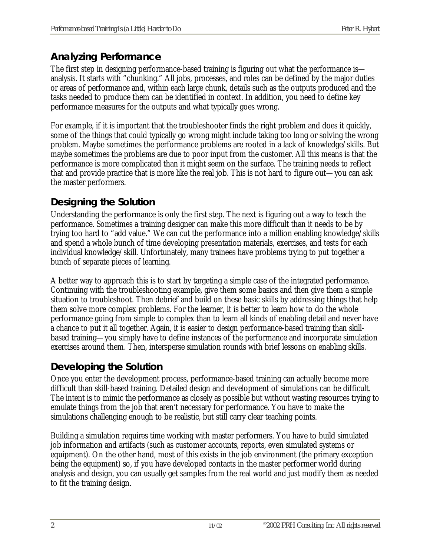# *Analyzing Performance*

The first step in designing performance-based training is figuring out what the performance is analysis. It starts with "chunking." All jobs, processes, and roles can be defined by the major duties or areas of performance and, within each large chunk, details such as the outputs produced and the tasks needed to produce them can be identified in context. In addition, you need to define key performance measures for the outputs and what typically goes wrong.

For example, if it is important that the troubleshooter finds the right problem and does it quickly, some of the things that could typically go wrong might include taking too long or solving the wrong problem. Maybe sometimes the performance problems are rooted in a lack of knowledge/skills. But maybe sometimes the problems are due to poor input from the customer. All this means is that the performance is more complicated than it might seem on the surface. The training needs to reflect that and provide practice that is more like the real job. This is not hard to figure out—you can ask the master performers.

#### *Designing the Solution*

Understanding the performance is only the first step. The next is figuring out a way to teach the performance. Sometimes a training designer can make this more difficult than it needs to be by trying too hard to "add value." We can cut the performance into a million enabling knowledge/skills and spend a whole bunch of time developing presentation materials, exercises, and tests for each individual knowledge/skill. Unfortunately, many trainees have problems trying to put together a bunch of separate pieces of learning.

A better way to approach this is to start by targeting a simple case of the integrated performance. Continuing with the troubleshooting example, give them some basics and then give them a simple situation to troubleshoot. Then debrief and build on these basic skills by addressing things that help them solve more complex problems. For the learner, it is better to learn how to do the whole performance going from simple to complex than to learn all kinds of enabling detail and never have a chance to put it all together. Again, it is easier to design performance-based training than skillbased training—you simply have to define instances of the performance and incorporate simulation exercises around them. Then, intersperse simulation rounds with brief lessons on enabling skills.

# *Developing the Solution*

Once you enter the development process, performance-based training can actually become more difficult than skill-based training. Detailed design and development of simulations can be difficult. The intent is to mimic the performance as closely as possible but without wasting resources trying to emulate things from the job that aren't necessary for performance. You have to make the simulations challenging enough to be realistic, but still carry clear teaching points.

Building a simulation requires time working with master performers. You have to build simulated job information and artifacts (such as customer accounts, reports, even simulated systems or equipment). On the other hand, most of this exists in the job environment (the primary exception being the equipment) so, if you have developed contacts in the master performer world during analysis and design, you can usually get samples from the real world and just modify them as needed to fit the training design.